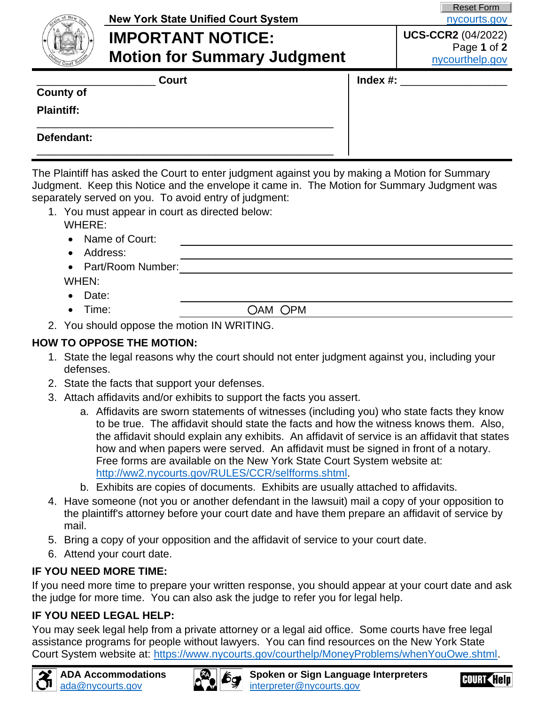| State of New York             |
|-------------------------------|
|                               |
|                               |
| <b>ACELSION</b>               |
| Unified Court<br><b>Istem</b> |

# **New York State Unified Court System [nycourts.gov](https://www.nycourts.gov/) nycourts.gov**

**IMPORTANT NOTICE: Motion for Summary Judgment** Reset Form

#### **UCS-CCR2** (04/2022) Page **1** of **2** [nycourthelp.gov](https://www.nycourts.gov/courthelp/)

\_\_\_\_\_\_\_\_\_\_\_\_\_\_\_\_\_\_\_\_\_\_\_\_\_\_\_\_\_\_\_\_\_\_\_\_\_\_\_\_\_\_\_\_\_\_\_\_\_\_

# **County of** \_\_\_\_\_\_\_\_\_\_\_\_\_\_\_\_\_\_

**Plaintiff:** \_\_\_\_\_\_\_\_\_\_\_\_\_\_\_\_\_\_\_\_\_\_\_\_\_\_\_\_\_\_\_\_\_\_\_\_\_\_\_\_\_\_\_\_\_\_\_\_\_\_

**Defendant:**

The Plaintiff has asked the Court to enter judgment against you by making a Motion for Summary Judgment. Keep this Notice and the envelope it came in. The Motion for Summary Judgment was separately served on you. To avoid entry of judgment:

- 1. You must appear in court as directed below: WHERE:
	- Name of Court:
	- Address:
	- Part/Room Number:

WHEN:

- Date:
- 

• Time:  $OAM OPM$ 

2. You should oppose the motion IN WRITING.

#### **HOW TO OPPOSE THE MOTION:**

- 1. State the legal reasons why the court should not enter judgment against you, including your defenses.
- 2. State the facts that support your defenses.
- 3. Attach affidavits and/or exhibits to support the facts you assert.
	- a. Affidavits are sworn statements of witnesses (including you) who state facts they know to be true. The affidavit should state the facts and how the witness knows them. Also, the affidavit should explain any exhibits. An affidavit of service is an affidavit that states how and when papers were served. An affidavit must be signed in front of a notary. Free forms are available on the New York State Court System website at: [http://ww2.nycourts.gov/RULES/CCR/selfforms.shtml.](http://ww2.nycourts.gov/RULES/CCR/selfforms.shtml)
	- b. Exhibits are copies of documents. Exhibits are usually attached to affidavits.
- 4. Have someone (not you or another defendant in the lawsuit) mail a copy of your opposition to the plaintiff's attorney before your court date and have them prepare an affidavit of service by mail.
- 5. Bring a copy of your opposition and the affidavit of service to your court date.
- 6. Attend your court date.

# **IF YOU NEED MORE TIME:**

If you need more time to prepare your written response, you should appear at your court date and ask the judge for more time. You can also ask the judge to refer you for legal help.

#### **IF YOU NEED LEGAL HELP:**

You may seek legal help from a private attorney or a legal aid office. Some courts have free legal assistance programs for people without lawyers. You can find resources on the New York State Court System website at: [https://www.nycourts.gov/courthelp/MoneyProblems/whenYouOwe.shtml.](https://www.nycourts.gov/courthelp/MoneyProblems/whenYouOwe.shtml)